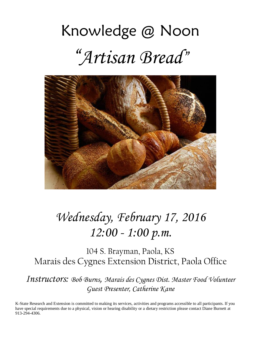# Knowledge @ Noon "*Artisan Bread*"



# *Wednesday, February 17, 2016 12:00 - 1:00 p.m.*

104 S. Brayman, Paola, KS Marais des Cygnes Extension District, Paola Office

*Instructors: Bob Burns, Marais des Cygnes Dist. Master Food Volunteer Guest Presenter, Catherine Kane*

K-State Research and Extension is committed to making its services, activities and programs accessible to all participants. If you have special requirements due to a physical, vision or hearing disability or a dietary restriction please contact Diane Burnett at 913-294-4306.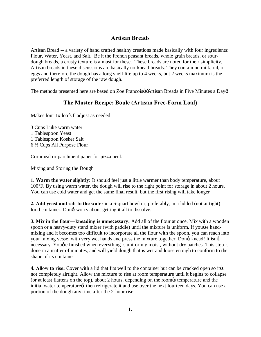# **Artisan Breads**

Artisan Bread -- a variety of hand crafted healthy creations made basically with four ingredients: Flour, Water, Yeast, and Salt. Be it the French peasant breads, whole grain breads, or sourdough breads, a crusty texture is a must for these. These breads are noted for their simplicity. Artisan breads in these discussions are basically no-knead breads. They contain no milk, oil, or eggs and therefore the dough has a long shelf life up to 4 weeks, but 2 weeks maximum is the preferred length of storage of the raw dough.

The methods presented here are based on Zoe Francoisø Artisan Breads in Five Minutes a Dayø

# **The Master Recipe: Boule (Artisan Free-Form Loaf)**

Makes four 1# loafs 6 adjust as needed

3 Cups Luke warm water 1 Tablespoon Yeast 1 Tablespoon Kosher Salt 6 ½ Cups All Purpose Flour

Cornmeal or parchment paper for pizza peel.

Mixing and Storing the Dough

**1. Warm the water slightly:** It should feel just a little warmer than body temperature, about 100°F. By using warm water, the dough will rise to the right point for storage in about 2 hours. You can use cold water and get the same final result, but the first rising will take longer

**2. Add yeast and salt to the water** in a 6-quart bowl or, preferably, in a lidded (not airtight) food container. Dongt worry about getting it all to dissolve.

**3. Mix in the flour—kneading is unnecessary:** Add all of the flour at once. Mix with a wooden spoon or a heavy-duty stand mixer (with paddle) until the mixture is uniform. If you gre handmixing and it becomes too difficult to incorporate all the flour with the spoon, you can reach into your mixing vessel with very wet hands and press the mixture together. Dongt knead! It isngt necessary. You *d*re finished when everything is uniformly moist, without dry patches. This step is done in a matter of minutes, and will yield dough that is wet and loose enough to conform to the shape of its container.

**4. Allow to rise:** Cover with a lid that fits well to the container but can be cracked open so its not completely airtight. Allow the mixture to rise at room temperature until it begins to collapse (or at least flattens on the top), about 2 hours, depending on the roomes temperature and the initial water temperature o then refrigerate it and use over the next fourteen days. You can use a portion of the dough any time after the 2-hour rise.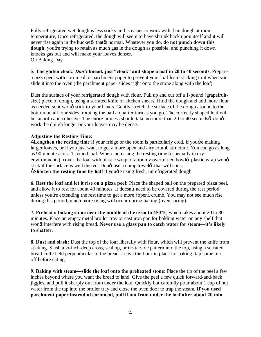Fully refrigerated wet dough is less sticky and is easier to work with than dough at room temperature, Once refrigerated, the dough will seem to have shrunk back upon itself and it will never rise again in the bucketô that **o**s normal. Whatever you do, **do not punch down this dough**, yougher trying to retain as much gas in the dough as possible, and punching it down knocks gas out and will make your loaves denser. On Baking Day

**5. The gluten cloak:** *Don't* **knead, just "cloak" and shape a loaf in 20 to 40 seconds.** Prepare a pizza peel with cornmeal or parchment paper to prevent your loaf from sticking to it when you slide it into the oven (the parchment paper slides right onto the stone along with the loaf).

Dust the surface of your refrigerated dough with flour. Pull up and cut off a 1-pound (grapefruitsize) piece of dough, using a serrated knife or kitchen shears. Hold the dough and add more flour as needed so it wong stick to your hands. Gently stretch the surface of the dough around to the bottom on all four sides, rotating the ball a quarter turn as you go. The correctly shaped loaf will be smooth and cohesive. The entire process should take no more than 20 to 40 seconds $\hat{o}$  dong work the dough longer or your loaves may be dense.

#### **Adjusting the Resting Time:**

**ELengthen the resting time** if your fridge or the room is particularly cold, if youghe making larger loaves, or if you just want to get a more open and airy crumb structure. You can go as long as 90 minutes for a 1-pound loaf. When increasing the resting time (especially in dry environments), cover the loaf with plastic wrap or a roomy overturned bowlô plastic wrap wong stick if the surface is well dusted. Dongt use a damp towelô that will stick. **EShorten the resting time by half** if yougre using fresh, unrefrigerated dough.

**6. Rest the loaf and let it rise on a pizza peel:** Place the shaped ball on the prepared pizza peel, and allow it to rest for about 40 minutes. It doesngt need to be covered during the rest period unless yought extending the rest time to get a more oppen crumb. You may not see much rise during this period; much more rising will occur during baking (oven spring).

**7. Preheat a baking stone near the middle of the oven to 450°F**, which takes about 20 to 30 minutes. Place an empty metal broiler tray or cast iron pan for holding water on any shelf that wong interfere with rising bread. Never use a glass pan to catch water for steam—it's likely **to shatter.**

**8. Dust and slash:** Dust the top of the loaf liberally with flour, which will prevent the knife from sticking. Slash a ½-inch-deep cross, scallop, or tic-tac-toe pattern into the top, using a serrated bread knife held perpendicular to the bread. Leave the flour in place for baking; tap some of it off before eating.

**9. Baking with steam—slide the loaf onto the preheated stone:** Place the tip of the peel a few inches beyond where you want the bread to land. Give the peel a few quick forward-and-back jiggles, and pull it sharply out from under the loaf. Quickly but carefully pour about 1 cup of hot water from the tap into the broiler tray and close the oven door to trap the steam. **If you used parchment paper instead of cornmeal, pull it out from under the loaf after about 20 min.**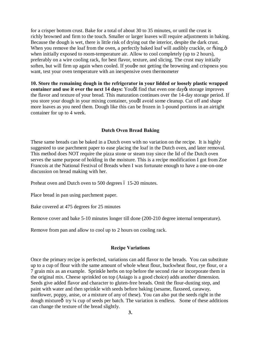for a crisper bottom crust. Bake for a total of about 30 to 35 minutes, or until the crust is richly browned and firm to the touch. Smaller or larger loaves will require adjustments in baking. Because the dough is wet, there is little risk of drying out the interior, despite the dark crust. When you remove the loaf from the oven, a perfectly baked loaf will audibly crackle, or  $\delta$ sing,  $\delta$ when initially exposed to room-temperature air. Allow to cool completely (up to 2 hours), preferably on a wire cooling rack, for best flavor, texture, and slicing. The crust may initially soften, but will firm up again when cooled. If you get not getting the browning and crispness you want, test your oven temperature with an inexpensive oven thermometer

**10. Store the remaining dough in the refrigerator in your lidded or loosely plastic wrapped container and use it over the next 14 days:** Yough find that even one day<sub>g</sub> storage improves the flavor and texture of your bread. This maturation continues over the 14-day storage period. If you store your dough in your mixing container, youdl avoid some cleanup. Cut off and shape more loaves as you need them. Dough like this can be frozen in 1-pound portions in an airtight container for up to 4 week.

#### **Dutch Oven Bread Baking**

These same breads can be baked in a Dutch oven with no variation on the recipe. It is highly suggested to use parchment paper to ease placing the loaf in the Dutch oven, and later removal. This method does NOT require the pizza stone or steam tray since the lid of the Dutch oven serves the same purpose of holding in the moisture. This is a recipe modification I got from Zoe Francois at the National Festival of Breads when I was fortunate enough to have a one-on-one discussion on bread making with her.

Preheat oven and Dutch oven to 500 degrees  $6\,15$ -20 minutes.

Place bread in pan using parchment paper.

Bake covered at 475 degrees for 25 minutes

Remove cover and bake 5-10 minutes longer till done (200-210 degree internal temperature).

Remove from pan and allow to cool up to 2 hours on cooling rack.

#### **Recipe Variations**

Once the primary recipe is perfected, variations can add flavor to the breads. You can substitute up to a cup of flour with the same amount of whole wheat flour, buckwheat flour, rye flour, or a 7 grain mix as an example. Sprinkle herbs on top before the second rise or incorporate them in the original mix. Cheese sprinkled on top (Asiago is a good choice) adds another dimension. Seeds give added flavor and character to gluten-free breads. Omit the flour-dusting step, and paint with water and then sprinkle with seeds before baking (sesame, flaxseed, caraway, sunflower, poppy, anise, or a mixture of any of these). You can also put the seeds right in the dough mixture $\hat{\sigma}$  try ¼ cup of seeds per batch. The variation is endless. Some of these additions can change the texture of the bread slightly.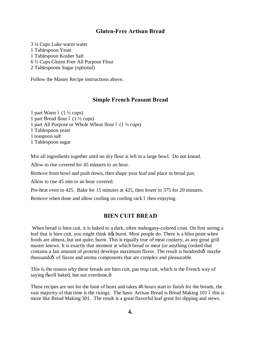# **Gluten-Free Artisan Bread**

3 ¼ Cups Luke warm water 1 Tablespoon Yeast 1 Tablespoon Kosher Salt 6 ½ Cups Gluten Free All Purpose Flour 2 Tablespoons Sugar (optional)

Follow the Master Recipe instructions above.

#### **Simple French Peasant Bread**

1 part Water  $6(1\frac{1}{2}$  cups) 1 part Bread flour  $6(1\frac{1}{2} \text{ cups})$ 1 part All Purpose or Whole Wheat flour  $6(1\frac{1}{2}$  cups) 1 Tablespoon yeast 1 teaspoon salt 1 Tablespoon sugar

Mix all ingredients together until no dry flour is left in a large bowl. Do not knead.

Allow to rise covered for 45 minutes to an hour.

Remove from bowl and push down, then shape your loaf and place in bread pan.

Allow to rise 45 min to an hour covered.

Pre-heat oven to 425. Bake for 15 minutes at 425, then lower to 375 for 20 minutes.

Remove when done and allow cooling on cooling rack 6 then enjoying.

# **BIEN CUIT BREAD**

When bread is bien cuit, it is baked to a dark, often mahogany-colored crust. On first seeing a loaf that is bien cuit, you might think it to burnt. Most people do. There is a bliss point when foods are almost, but not quite, burnt. This is equally true of meat cookery, as any great grill master knows. It is exactly that moment at which bread or meat (or anything cooked that contains a fair amount of protein) develops maximum flavor. The result is hundreds $\hat{o}$  maybe thousandsô of flavor and aroma components that are complex and pleasurable.

This is the reason why these breads are bien cuit, pas trop cuit, which is the French way of saying õwell baked, but not overdone.ö

These recipes are not for the faint of heart and takes 48 hours start to finish for the breads, the vast majority of that time is the risings. The basic Artisan Bread is Bread Making 101 6 this is more like Bread Making 301. The result is a great flavorful loaf great for dipping and stews.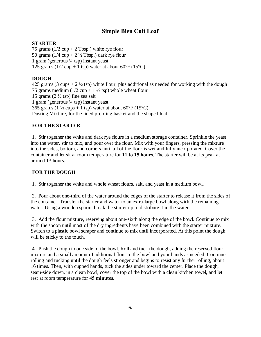# **Simple Bien Cuit Loaf**

# **STARTER**

75 grams  $(1/2 \text{ cup} + 2 \text{ Tbsp})$  white rye flour 50 grams  $(1/4 \text{ cup} + 2 \frac{1}{2} \text{ Tbsp})$  dark rye flour 1 gram (generous  $\frac{1}{4}$  tsp) instant yeast 125 grams (1/2 cup + 1 tsp) water at about  $60^{\circ}$ F (15<sup>o</sup>C)

# **DOUGH**

425 grams (3 cups  $+ 2 \frac{1}{2}$  tsp) white flour, plus additional as needed for working with the dough 75 grams medium ( $1/2$  cup + 1  $\frac{1}{2}$  tsp) whole wheat flour 15 grams  $(2 \frac{1}{2} \text{ tsp})$  fine sea salt 1 gram (generous  $\frac{1}{4}$  tsp) instant yeast 365 grams (1  $\frac{1}{2}$  cups + 1 tsp) water at about 60°F (15°C) Dusting Mixture, for the lined proofing basket and the shaped loaf

#### **FOR THE STARTER**

1. Stir together the white and dark rye flours in a medium storage container. Sprinkle the yeast into the water, stir to mix, and pour over the flour. Mix with your fingers, pressing the mixture into the sides, bottom, and corners until all of the flour is wet and fully incorporated. Cover the container and let sit at room temperature for **11 to 15 hours**. The starter will be at its peak at around 13 hours.

#### **FOR THE DOUGH**

1. Stir together the white and whole wheat flours, salt, and yeast in a medium bowl.

2. Pour about one-third of the water around the edges of the starter to release it from the sides of the container. Transfer the starter and water to an extra-large bowl along with the remaining water. Using a wooden spoon, break the starter up to distribute it in the water.

3. Add the flour mixture, reserving about one-sixth along the edge of the bowl. Continue to mix with the spoon until most of the dry ingredients have been combined with the starter mixture. Switch to a plastic bowl scraper and continue to mix until incorporated. At this point the dough will be sticky to the touch.

4. Push the dough to one side of the bowl. Roll and tuck the dough, adding the reserved flour mixture and a small amount of additional flour to the bowl and your hands as needed. Continue rolling and tucking until the dough feels stronger and begins to resist any further rolling, about 16 times. Then, with cupped hands, tuck the sides under toward the center. Place the dough, seam-side down, in a clean bowl, cover the top of the bowl with a clean kitchen towel, and let rest at room temperature for **45 minutes**.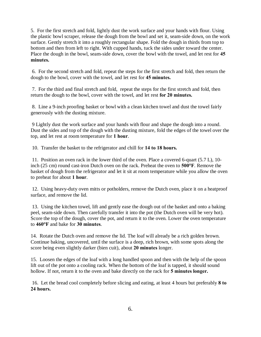5. For the first stretch and fold, lightly dust the work surface and your hands with flour. Using the plastic bowl scraper, release the dough from the bowl and set it, seam-side down, on the work surface. Gently stretch it into a roughly rectangular shape. Fold the dough in thirds from top to bottom and then from left to right. With cupped hands, tuck the sides under toward the center. Place the dough in the bowl, seam-side down, cover the bowl with the towel, and let rest for **45 minutes.**

6. For the second stretch and fold, repeat the steps for the first stretch and fold, then return the dough to the bowl, cover with the towel, and let rest for **45 minutes.**

7. For the third and final stretch and fold, repeat the steps for the first stretch and fold, then return the dough to the bowl, cover with the towel, and let rest **for 20 minutes.**

8. Line a 9-inch proofing basket or bowl with a clean kitchen towel and dust the towel fairly generously with the dusting mixture.

9 Lightly dust the work surface and your hands with flour and shape the dough into a round. Dust the sides and top of the dough with the dusting mixture, fold the edges of the towel over the top, and let rest at room temperature for **1 hour**.

10. Transfer the basket to the refrigerator and chill for **14 to 18 hours.**

11. Position an oven rack in the lower third of the oven. Place a covered 6-quart (5.7 L), 10 inch (25 cm) round cast-iron Dutch oven on the rack. Preheat the oven to **500°F**. Remove the basket of dough from the refrigerator and let it sit at room temperature while you allow the oven to preheat for about **1 hour**.

12. Using heavy-duty oven mitts or potholders, remove the Dutch oven, place it on a heatproof surface, and remove the lid.

13. Using the kitchen towel, lift and gently ease the dough out of the basket and onto a baking peel, seam-side down. Then carefully transfer it into the pot (the Dutch oven will be very hot). Score the top of the dough, cover the pot, and return it to the oven. Lower the oven temperature to **460°F** and bake for **30 minutes**.

14. Rotate the Dutch oven and remove the lid. The loaf will already be a rich golden brown. Continue baking, uncovered, until the surface is a deep, rich brown, with some spots along the score being even slightly darker (bien cuit), about **20 minutes** longer.

15. Loosen the edges of the loaf with a long handled spoon and then with the help of the spoon lift out of the pot onto a cooling rack. When the bottom of the loaf is tapped, it should sound hollow. If not, return it to the oven and bake directly on the rack for **5 minutes longer.**

16. Let the bread cool completely before slicing and eating, at least 4 hours but preferably **8 to 24 hours.**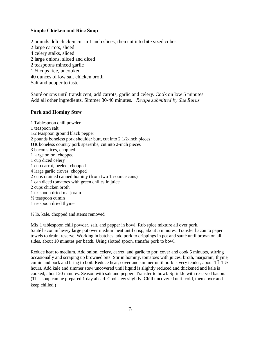#### **Simple Chicken and Rice Soup**

2 pounds deli chicken cut in 1 inch slices, then cut into bite sized cubes 2 large carrots, sliced 4 celery stalks, sliced 2 large onions, sliced and diced 2 teaspoons minced garlic 1 ½ cups rice, uncooked. 40 ounces of low salt chicken broth Salt and pepper to taste.

Sauté onions until translucent, add carrots, garlic and celery. Cook on low 5 minutes. Add all other ingredients. Simmer 30-40 minutes. *Recipe submitted by Sue Burns*

#### **Pork and Hominy Stew**

1 Tablespoon chili powder 1 teaspoon salt 1/2 teaspoon ground black pepper 2 pounds boneless pork shoulder butt, cut into 2 1/2-inch pieces **OR** boneless country pork spareribs, cut into 2-inch pieces 3 bacon slices, chopped 1 large onion, chopped 1 cup diced celery 1 cup carrot, peeled, chopped 4 large garlic cloves, chopped 2 cups drained canned hominy (from two 15-ounce cans) 1 can diced tomatoes with green chilies in juice 2 cups chicken broth 1 teaspoon dried marjoram ½ teaspoon cumin 1 teaspoon dried thyme

½ lb. kale, chopped and stems removed

Mix 1 tablespoon chili powder, salt, and pepper in bowl. Rub spice mixture all over pork. Sauté bacon in heavy large pot over medium heat until crisp, about 5 minutes. Transfer bacon to paper towels to drain, reserve. Working in batches, add pork to drippings in pot and sauté until brown on all sides, about 10 minutes per batch. Using slotted spoon, transfer pork to bowl.

Reduce heat to medium. Add onion, celery, carrot, and garlic to pot; cover and cook 5 minutes, stirring occasionally and scraping up browned bits. Stir in hominy, tomatoes with juices, broth, marjoram, thyme, cumin and pork and bring to boil. Reduce heat; cover and simmer until pork is very tender, about 1 6 1  $\frac{1}{2}$ hours. Add kale and simmer stew uncovered until liquid is slightly reduced and thickened and kale is cooked, about 20 minutes. Season with salt and pepper. Transfer to bowl. Sprinkle with reserved bacon. (This soup can be prepared 1 day ahead. Cool stew slightly. Chill uncovered until cold, then cover and keep chilled.)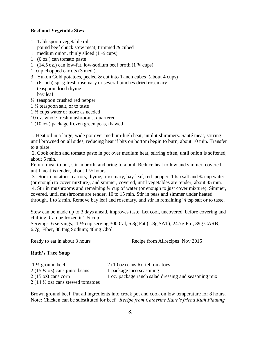#### **Beef and Vegetable Stew**

- 1 Tablespoon vegetable oil
- 1 pound beef chuck stew meat, trimmed & cubed
- 1 medium onion, thinly sliced (1 ¼ cups)
- 1 (6 oz.) can tomato paste
- 1 (14.5 oz.) can low-fat, low-sodium beef broth (1 ¾ cups)
- 1 cup chopped carrots (3 med.)
- 3 Yukon Gold potatoes, peeled & cut into 1-inch cubes (about 4 cups)
- 1 (6-inch) sprig fresh rosemary or several pinches dried rosemary
- 1 teaspoon dried thyme
- 1 bay leaf
- ¼ teaspoon crushed red pepper
- 1 ¼ teaspoon salt, or to taste
- 1 ½ cups water or more as needed
- 10 oz. whole fresh mushrooms, quartered
- 1 (10 oz.) package frozen green peas, thawed

1. Heat oil in a large, wide pot over medium-high heat, until it shimmers. Sauté meat, stirring until browned on all sides, reducing heat if bits on bottom begin to burn, about 10 min. Transfer to a plate.

2. Cook onion and tomato paste in pot over medium heat, stirring often, until onion is softened, about 5 min.

Return meat to pot, stir in broth, and bring to a boil. Reduce heat to low and simmer, covered, until meat is tender, about 1 ½ hours.

3. Stir in potatoes, carrots, thyme, rosemary, bay leaf, red pepper, 1 tsp salt and ¾ cup water (or enough to cover mixture), and simmer, covered, until vegetables are tender, about 45 min. 4. Stir in mushrooms and remaining ¾ cup of water (or enough to just cover mixture). Simmer, covered, until mushrooms are tender, 10 to 15 min. Stir in peas and simmer under heated through, 1 to 2 min. Remove bay leaf and rosemary, and stir in remaining ¼ tsp salt or to taste.

Stew can be made up to 3 days ahead, improves taste. Let cool, uncovered, before covering and chilling. Can be frozen in1 ½ cup

Servings. 6 servings; 1 ½ cup serving 300 Cal; 6.3g Fat (1.8g SAT); 24.7g Pro; 39g CARB; 6.7g Fiber, 884mg Sodium; 48mg Chol.

Ready to eat in about 3 hours Recipe from Allrecipes Nov 2015

# **Ruth's Taco Soup**

| $1\frac{1}{2}$ ground beef                         | $2(10 \text{ oz})$ cans Ro-tel tomatoes              |
|----------------------------------------------------|------------------------------------------------------|
| $2(15\frac{1}{2} \text{ oz})$ cans pinto beans     | 1 package taco seasoning                             |
| $2(15 \text{ oz})$ cans corn                       | 1 oz. package ranch salad dressing and seasoning mix |
| $2(14\frac{1}{2} \text{ oz})$ cans stewed tomatoes |                                                      |

Brown ground beef. Put all ingredients into crock pot and cook on low temperature for 8 hours. Note: Chicken can be substituted for beef. *Recipe from Catherine Kane's friend Ruth Fladung*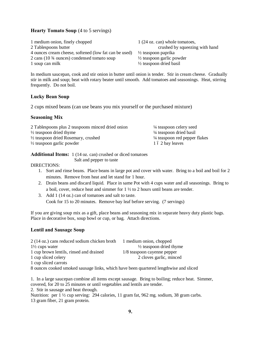#### **Hearty Tomato Soup** (4 to 5 servings)

1 medium onion, finely chopped 1 (24 oz. can) whole tomatoes, 2 Tablespoons butter crushed by squeezing with hand 4 ounces cream cheese, softened (low fat can be used)  $\frac{1}{2}$  teaspoon paprika 2 cans (10 ¾ ounces) condensed tomato soup ½ teaspoon garlic powder 1 soup can milk  $\frac{1}{2}$  teaspoon dried basil

In medium saucepan, cook and stir onion in butter until onion is tender. Stir in cream cheese. Gradually stir in milk and soup; beat with rotary beater until smooth. Add tomatoes and seasonings. Heat, stirring frequently. Do not boil.

#### **Lucky Bean Soup**

2 cups mixed beans (can use beans you mix yourself or the purchased mixture)

#### **Seasoning Mix**

| 2 Tablespoons plus 2 teaspoons minced dried onion | $\frac{1}{4}$ teaspoon celery seed                     |
|---------------------------------------------------|--------------------------------------------------------|
| $\frac{1}{2}$ teaspoon dried thyme                | <sup>1</sup> / <sub>4</sub> teaspoon dried basil       |
| $\frac{1}{2}$ teaspoon dried Rosemary, crushed    | <sup>1</sup> / <sub>4</sub> teaspoon red pepper flakes |
| $\frac{1}{2}$ teaspoon garlic powder              | 1 ó 2 bay leaves                                       |

|                          | <b>Additional Items:</b> 1 (14 oz. can) crushed or diced tomatoes |
|--------------------------|-------------------------------------------------------------------|
| Salt and pepper to taste |                                                                   |

#### DIRECTIONS:

- 1. Sort and rinse beans. Place beans in large pot and cover with water. Bring to a boil and boil for 2 minutes. Remove from heat and let stand for 1 hour.
- 2. Drain beans and discard liquid. Place in same Pot with 4 cups water and all seasonings. Bring to a boil, cover, reduce heat and simmer for 1 ½ to 2 hours until beans are tender.
- 3. Add 1 (14 oz.) can of tomatoes and salt to taste. Cook for 15 to 20 minutes. Remove bay leaf before serving. (7 servings)

If you are giving soup mix as a gift, place beans and seasoning mix in separate heavy duty plastic bags. Place in decorative box, soup bowl or cup, or bag. Attach directions.

#### **Lentil and Sausage Soup**

| 2 (14 oz.) cans reduced sodium chicken broth | 1 medium onion, chopped            |
|----------------------------------------------|------------------------------------|
| $1\frac{1}{2}$ cups water                    | $\frac{1}{2}$ teaspoon dried thyme |
| 1 cup brown lentils, rinsed and drained      | 1/8 teaspoon cayenne pepper        |
| 1 cup sliced celery                          | 2 cloves garlic, minced            |
| 1 cup sliced carrots                         |                                    |

8 ounces cooked smoked sausage links, which have been quartered lengthwise and sliced

1. In a large saucepan combine all items except sausage. Bring to boiling; reduce heat. Simmer, covered, for 20 to 25 minutes or until vegetables and lentils are tender. 2. Stir in sausage and heat through. Nutrition: per 1 ½ cup serving: 294 calories, 11 gram fat, 962 mg. sodium, 38 gram carbs. 13 gram fiber, 21 gram protein.